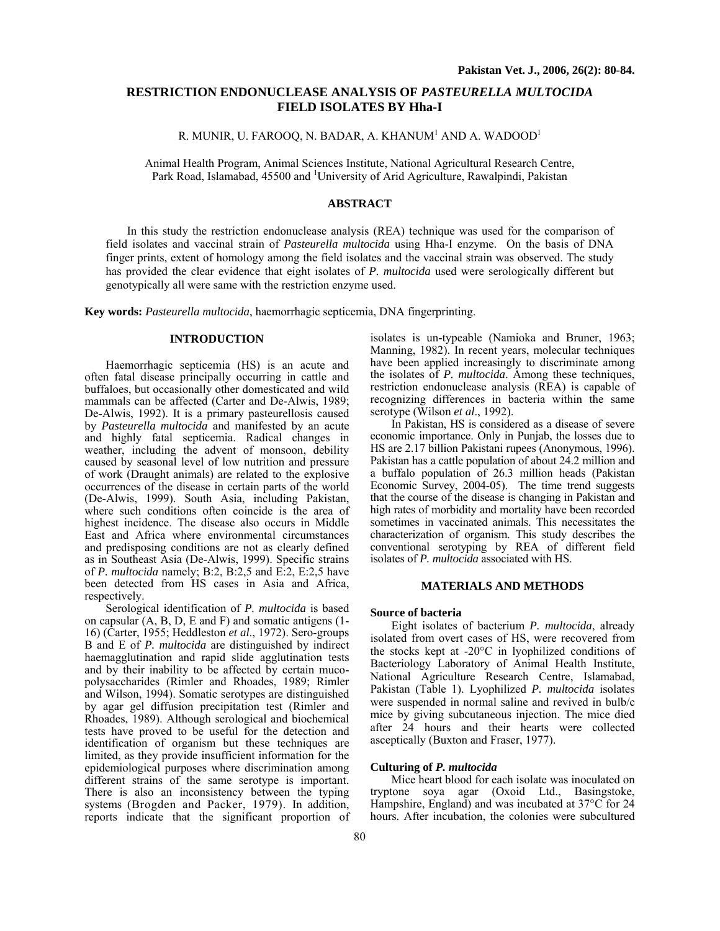# **RESTRICTION ENDONUCLEASE ANALYSIS OF** *PASTEURELLA MULTOCIDA* **FIELD ISOLATES BY Hha-I**

R. MUNIR, U. FAROOQ, N. BADAR, A. KHANUM<sup>1</sup> AND A. WADOOD<sup>1</sup>

Animal Health Program, Animal Sciences Institute, National Agricultural Research Centre, Park Road, Islamabad, 45500 and <sup>1</sup>University of Arid Agriculture, Rawalpindi, Pakistan

#### **ABSTRACT**

In this study the restriction endonuclease analysis (REA) technique was used for the comparison of field isolates and vaccinal strain of *Pasteurella multocida* using Hha-I enzyme. On the basis of DNA finger prints, extent of homology among the field isolates and the vaccinal strain was observed. The study has provided the clear evidence that eight isolates of *P. multocida* used were serologically different but genotypically all were same with the restriction enzyme used.

**Key words:** *Pasteurella multocida*, haemorrhagic septicemia, DNA fingerprinting.

# **INTRODUCTION**

Haemorrhagic septicemia (HS) is an acute and often fatal disease principally occurring in cattle and buffaloes, but occasionally other domesticated and wild mammals can be affected (Carter and De-Alwis, 1989; De-Alwis, 1992). It is a primary pasteurellosis caused by *Pasteurella multocida* and manifested by an acute and highly fatal septicemia. Radical changes in weather, including the advent of monsoon, debility caused by seasonal level of low nutrition and pressure of work (Draught animals) are related to the explosive occurrences of the disease in certain parts of the world (De-Alwis, 1999). South Asia, including Pakistan, where such conditions often coincide is the area of highest incidence. The disease also occurs in Middle East and Africa where environmental circumstances and predisposing conditions are not as clearly defined as in Southeast Asia (De-Alwis, 1999). Specific strains of *P. multocida* namely; B:2, B:2,5 and E:2, E:2,5 have been detected from HS cases in Asia and Africa, respectively.

Serological identification of *P. multocida* is based on capsular (A, B, D, E and F) and somatic antigens (1- 16) (Carter, 1955; Heddleston *et al*., 1972). Sero-groups B and E of *P. multocida* are distinguished by indirect haemagglutination and rapid slide agglutination tests and by their inability to be affected by certain mucopolysaccharides (Rimler and Rhoades, 1989; Rimler and Wilson, 1994). Somatic serotypes are distinguished by agar gel diffusion precipitation test (Rimler and Rhoades, 1989). Although serological and biochemical tests have proved to be useful for the detection and identification of organism but these techniques are limited, as they provide insufficient information for the epidemiological purposes where discrimination among different strains of the same serotype is important. There is also an inconsistency between the typing systems (Brogden and Packer, 1979). In addition, reports indicate that the significant proportion of

isolates is un-typeable (Namioka and Bruner, 1963; Manning, 1982). In recent years, molecular techniques have been applied increasingly to discriminate among the isolates of *P. multocida*. Among these techniques, restriction endonuclease analysis (REA) is capable of recognizing differences in bacteria within the same serotype (Wilson *et al*., 1992).

In Pakistan, HS is considered as a disease of severe economic importance. Only in Punjab, the losses due to HS are 2.17 billion Pakistani rupees (Anonymous, 1996). Pakistan has a cattle population of about 24.2 million and a buffalo population of 26.3 million heads (Pakistan Economic Survey, 2004-05). The time trend suggests that the course of the disease is changing in Pakistan and high rates of morbidity and mortality have been recorded sometimes in vaccinated animals. This necessitates the characterization of organism. This study describes the conventional serotyping by REA of different field isolates of *P. multocida* associated with HS.

#### **MATERIALS AND METHODS**

#### **Source of bacteria**

Eight isolates of bacterium *P. multocida*, already isolated from overt cases of HS, were recovered from the stocks kept at -20°C in lyophilized conditions of Bacteriology Laboratory of Animal Health Institute, National Agriculture Research Centre, Islamabad, Pakistan (Table 1). Lyophilized *P. multocida* isolates were suspended in normal saline and revived in bulb/c mice by giving subcutaneous injection. The mice died after 24 hours and their hearts were collected asceptically (Buxton and Fraser, 1977).

#### **Culturing of** *P. multocida*

Mice heart blood for each isolate was inoculated on tryptone soya agar (Oxoid Ltd., Basingstoke, Hampshire, England) and was incubated at 37°C for 24 hours. After incubation, the colonies were subcultured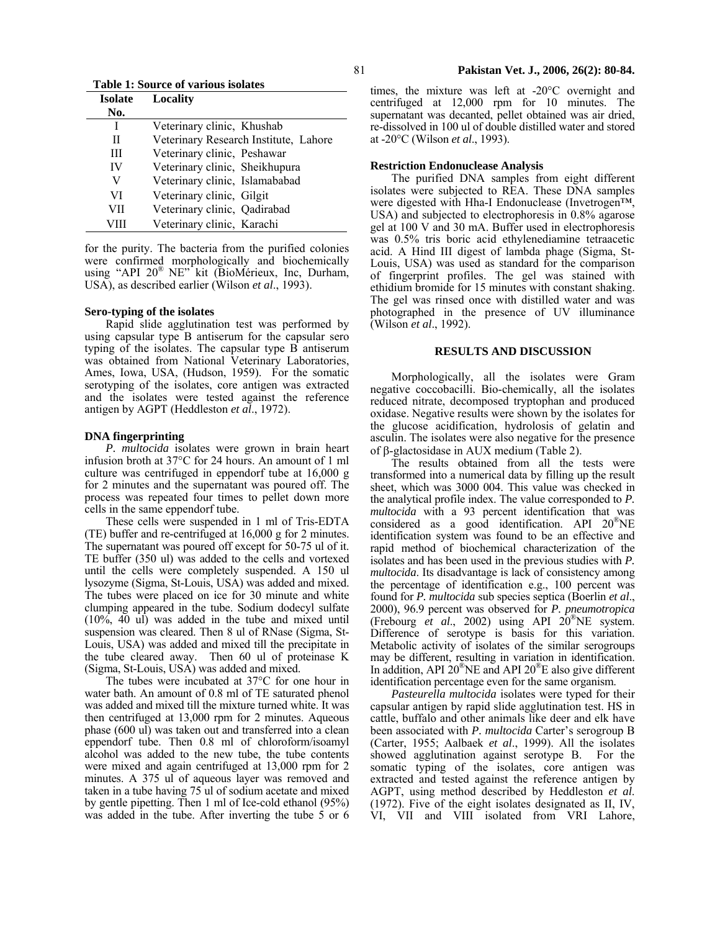**Table 1: Source of various isolates** 

| Isolate | <b>Locality</b>                       |
|---------|---------------------------------------|
| No.     |                                       |
| I       | Veterinary clinic, Khushab            |
| Н       | Veterinary Research Institute, Lahore |
| Ш       | Veterinary clinic, Peshawar           |
| IV      | Veterinary clinic, Sheikhupura        |
| V       | Veterinary clinic, Islamababad        |
| VI      | Veterinary clinic, Gilgit             |
| VН      | Veterinary clinic, Qadirabad          |
|         | Veterinary clinic, Karachi            |

for the purity. The bacteria from the purified colonies were confirmed morphologically and biochemically using "API 20<sup>®</sup> NE" kit (BioMérieux, Inc, Durham, USA), as described earlier (Wilson *et al*., 1993).

### **Sero-typing of the isolates**

Rapid slide agglutination test was performed by using capsular type B antiserum for the capsular sero typing of the isolates. The capsular type B antiserum was obtained from National Veterinary Laboratories, Ames, Iowa, USA, (Hudson, 1959). For the somatic serotyping of the isolates, core antigen was extracted and the isolates were tested against the reference antigen by AGPT (Heddleston *et al*., 1972).

### **DNA fingerprinting**

*P. multocida* isolates were grown in brain heart infusion broth at 37°C for 24 hours. An amount of 1 ml culture was centrifuged in eppendorf tube at 16,000 g for 2 minutes and the supernatant was poured off. The process was repeated four times to pellet down more cells in the same eppendorf tube.

These cells were suspended in 1 ml of Tris-EDTA (TE) buffer and re-centrifuged at 16,000 g for 2 minutes. The supernatant was poured off except for 50-75 ul of it. TE buffer (350 ul) was added to the cells and vortexed until the cells were completely suspended. A 150 ul lysozyme (Sigma, St-Louis, USA) was added and mixed. The tubes were placed on ice for 30 minute and white clumping appeared in the tube. Sodium dodecyl sulfate (10%, 40 ul) was added in the tube and mixed until suspension was cleared. Then 8 ul of RNase (Sigma, St-Louis, USA) was added and mixed till the precipitate in the tube cleared away. Then 60 ul of proteinase K (Sigma, St-Louis, USA) was added and mixed.

The tubes were incubated at 37°C for one hour in water bath. An amount of 0.8 ml of TE saturated phenol was added and mixed till the mixture turned white. It was then centrifuged at 13,000 rpm for 2 minutes. Aqueous phase (600 ul) was taken out and transferred into a clean eppendorf tube. Then 0.8 ml of chloroform/isoamyl alcohol was added to the new tube, the tube contents were mixed and again centrifuged at 13,000 rpm for 2 minutes. A 375 ul of aqueous layer was removed and taken in a tube having 75 ul of sodium acetate and mixed by gentle pipetting. Then 1 ml of Ice-cold ethanol (95%) was added in the tube. After inverting the tube 5 or 6

times, the mixture was left at -20°C overnight and centrifuged at 12,000 rpm for 10 minutes. The supernatant was decanted, pellet obtained was air dried, re-dissolved in 100 ul of double distilled water and stored at -20°C (Wilson *et al*., 1993).

### **Restriction Endonuclease Analysis**

The purified DNA samples from eight different isolates were subjected to REA. These DNA samples were digested with Hha-I Endonuclease (Invetrogen™, USA) and subjected to electrophoresis in 0.8% agarose gel at 100 V and 30 mA. Buffer used in electrophoresis was 0.5% tris boric acid ethylenediamine tetraacetic acid. A Hind III digest of lambda phage (Sigma, St-Louis, USA) was used as standard for the comparison of fingerprint profiles. The gel was stained with ethidium bromide for 15 minutes with constant shaking. The gel was rinsed once with distilled water and was photographed in the presence of UV illuminance (Wilson *et al*., 1992).

### **RESULTS AND DISCUSSION**

Morphologically, all the isolates were Gram negative coccobacilli. Bio-chemically, all the isolates reduced nitrate, decomposed tryptophan and produced oxidase. Negative results were shown by the isolates for the glucose acidification, hydrolosis of gelatin and asculin. The isolates were also negative for the presence of β-glactosidase in AUX medium (Table 2).

The results obtained from all the tests were transformed into a numerical data by filling up the result sheet, which was 3000 004. This value was checked in the analytical profile index. The value corresponded to *P. multocida* with a 93 percent identification that was considered as a good identification. API 20®NE identification system was found to be an effective and rapid method of biochemical characterization of the isolates and has been used in the previous studies with *P. multocida*. Its disadvantage is lack of consistency among the percentage of identification e.g., 100 percent was found for *P. multocida* sub species septica (Boerlin *et al*., 2000), 96.9 percent was observed for *P. pneumotropica* (Frebourg *et al*., 2002) using API 20®NE system. Difference of serotype is basis for this variation. Metabolic activity of isolates of the similar serogroups may be different, resulting in variation in identification. In addition, API  $20^{\circ}$ NE and API  $20^{\circ}$ E also give different identification percentage even for the same organism.

*Pasteurella multocida* isolates were typed for their capsular antigen by rapid slide agglutination test. HS in cattle, buffalo and other animals like deer and elk have been associated with *P. multocida* Carter's serogroup B (Carter, 1955; Aalbaek *et al*., 1999). All the isolates showed agglutination against serotype B. For the somatic typing of the isolates, core antigen was extracted and tested against the reference antigen by AGPT, using method described by Heddleston *et al*. (1972). Five of the eight isolates designated as II, IV, VI, VII and VIII isolated from VRI Lahore,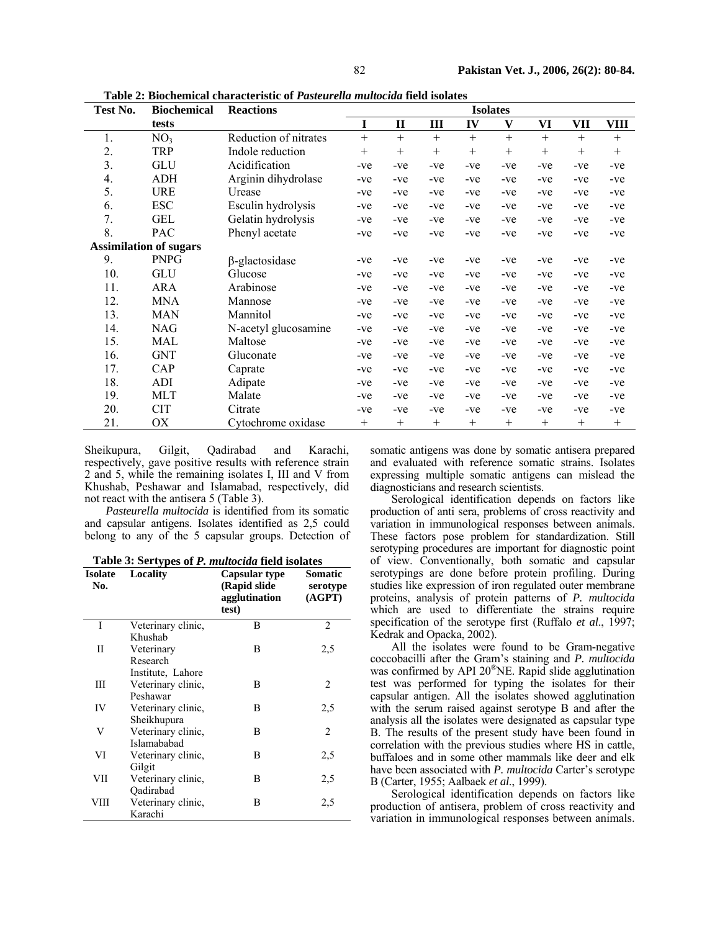| Test No.                      | <b>Biochemical</b> | <b>Reactions</b>      | <b>Isolates</b> |              |        |        |        |        |        |             |
|-------------------------------|--------------------|-----------------------|-----------------|--------------|--------|--------|--------|--------|--------|-------------|
|                               | tests              |                       | I               | $\mathbf{I}$ | III    | IV     | V      | VI     | VII    | <b>VIII</b> |
| 1.                            | NO <sub>3</sub>    | Reduction of nitrates | $+$             | $+$          | $+$    | $+$    | $^{+}$ | $+$    | $+$    | $^{+}$      |
| 2.                            | <b>TRP</b>         | Indole reduction      | $^{+}$          | $+$          | $^{+}$ | $+$    | $^{+}$ | $^{+}$ | $^{+}$ | $^{+}$      |
| 3.                            | GLU                | Acidification         | -ve             | -ve          | $-ve$  | -ve    | $-ve$  | $-ve$  | $-ve$  | $-ve$       |
| 4.                            | ADH                | Arginin dihydrolase   | -ve             | -ve          | $-ve$  | -ve    | $-ve$  | $-ve$  | $-ve$  | -ve         |
| 5.                            | <b>URE</b>         | Urease                | -ve             | -ve          | $-ve$  | -ve    | $-ve$  | -ve    | $-ve$  | -ve         |
| 6.                            | <b>ESC</b>         | Esculin hydrolysis    | -ve             | -ve          | $-ve$  | -ve    | $-ve$  | -ve    | -ve    | -ve         |
| 7.                            | <b>GEL</b>         | Gelatin hydrolysis    | -ve             | -ve          | $-ve$  | -ve    | $-ve$  | -ve    | $-ve$  | $-ve$       |
| 8.                            | <b>PAC</b>         | Phenyl acetate        | -ve             | -ve          | $-ve$  | -ve    | $-ve$  | -ve    | -ve    | -ve         |
| <b>Assimilation of sugars</b> |                    |                       |                 |              |        |        |        |        |        |             |
| 9.                            | <b>PNPG</b>        | $\beta$ -glactosidase | -ve             | -ve          | $-ve$  | $-ve$  | $-ve$  | -ve    | $-ve$  | -ve         |
| 10.                           | GLU                | Glucose               | -ve             | -ve          | -ve    | -ve    | $-ve$  | -ve    | -ve    | -ve         |
| 11.                           | <b>ARA</b>         | Arabinose             | $-ve$           | -ve          | $-ve$  | $-ve$  | $-ve$  | -ve    | $-ve$  | $-ve$       |
| 12.                           | <b>MNA</b>         | Mannose               | -ve             | -ve          | -ve    | -ve    | $-ve$  | -ve    | -ve    | -ve         |
| 13.                           | <b>MAN</b>         | Mannitol              | -ve             | -ve          | $-ve$  | -ve    | $-ve$  | $-ve$  | -ve    | -ve         |
| 14.                           | <b>NAG</b>         | N-acetyl glucosamine  | -ve             | -ve          | $-ve$  | -ve    | $-ve$  | -ve    | -ve    | $-ve$       |
| 15.                           | <b>MAL</b>         | Maltose               | -ve             | -ve          | $-ve$  | -ve    | $-ve$  | -ve    | -ve    | $-ve$       |
| 16.                           | <b>GNT</b>         | Gluconate             | -ve             | -ve          | $-ve$  | -ve    | $-ve$  | $-ve$  | -ve    | $-ve$       |
| 17.                           | CAP                | Caprate               | -ve             | -ve          | -ve    | -ve    | -ve    | -ve    | -ve    | -ve         |
| 18.                           | ADI                | Adipate               | -ve             | -ve          | $-ve$  | -ve    | $-ve$  | -ve    | -ve    | $-ve$       |
| 19.                           | MLT                | Malate                | -ve             | -ve          | $-ve$  | -ve    | $-ve$  | -ve    | -ve    | $-ve$       |
| 20.                           | <b>CIT</b>         | Citrate               | -ve             | -ve          | $-ve$  | -ve    | $-ve$  | -ve    | $-ve$  | -ve         |
| 21.                           | ОX                 | Cytochrome oxidase    | $^{+}$          | $^{+}$       | $^{+}$ | $^{+}$ | $^{+}$ | $^{+}$ | $^{+}$ | $^{+}$      |

**Table 2: Biochemical characteristic of** *Pasteurella multocida* **field isolates** 

Sheikupura, Gilgit, Qadirabad and Karachi, respectively, gave positive results with reference strain 2 and 5, while the remaining isolates I, III and V from Khushab, Peshawar and Islamabad, respectively, did not react with the antisera 5 (Table 3).

*Pasteurella multocida* is identified from its somatic and capsular antigens. Isolates identified as 2,5 could belong to any of the 5 capsular groups. Detection of

| Table 3: Sertypes of P. multocida field isolates |  |
|--------------------------------------------------|--|
|--------------------------------------------------|--|

| <b>Isolate</b><br>No. | Locality           | Capsular type<br>(Rapid slide<br>agglutination<br>test) | Somatic<br>serotype<br>(AGPT) |
|-----------------------|--------------------|---------------------------------------------------------|-------------------------------|
| I                     | Veterinary clinic, | B                                                       | 2                             |
|                       | Khushab            |                                                         |                               |
| Π                     | Veterinary         | B                                                       | 2,5                           |
|                       | Research           |                                                         |                               |
|                       | Institute, Lahore  |                                                         |                               |
| Ш                     | Veterinary clinic, | B                                                       | 2                             |
|                       | Peshawar           |                                                         |                               |
| IV                    | Veterinary clinic, | B                                                       | 2,5                           |
|                       | Sheikhupura        |                                                         |                               |
| V                     | Veterinary clinic, | B                                                       | $\overline{2}$                |
|                       | Islamababad        |                                                         |                               |
| VI                    | Veterinary clinic, | B                                                       | 2,5                           |
|                       | Gilgit             |                                                         |                               |
| VII                   | Veterinary clinic, | В                                                       | 2,5                           |
|                       | Oadirabad          |                                                         |                               |
| VIII                  | Veterinary clinic, | B                                                       | 2,5                           |
|                       | Karachi            |                                                         |                               |

somatic antigens was done by somatic antisera prepared and evaluated with reference somatic strains. Isolates expressing multiple somatic antigens can mislead the diagnosticians and research scientists.

Serological identification depends on factors like production of anti sera, problems of cross reactivity and variation in immunological responses between animals. These factors pose problem for standardization. Still serotyping procedures are important for diagnostic point of view. Conventionally, both somatic and capsular serotypings are done before protein profiling. During studies like expression of iron regulated outer membrane proteins, analysis of protein patterns of *P. multocida* which are used to differentiate the strains require specification of the serotype first (Ruffalo *et al*., 1997; Kedrak and Opacka, 2002).

All the isolates were found to be Gram-negative coccobacilli after the Gram's staining and *P. multocida* was confirmed by API 20<sup>®</sup>NE. Rapid slide agglutination test was performed for typing the isolates for their capsular antigen. All the isolates showed agglutination with the serum raised against serotype B and after the analysis all the isolates were designated as capsular type B. The results of the present study have been found in correlation with the previous studies where HS in cattle, buffaloes and in some other mammals like deer and elk have been associated with *P. multocida* Carter's serotype B (Carter, 1955; Aalbaek *et al*., 1999).

Serological identification depends on factors like production of antisera, problem of cross reactivity and variation in immunological responses between animals.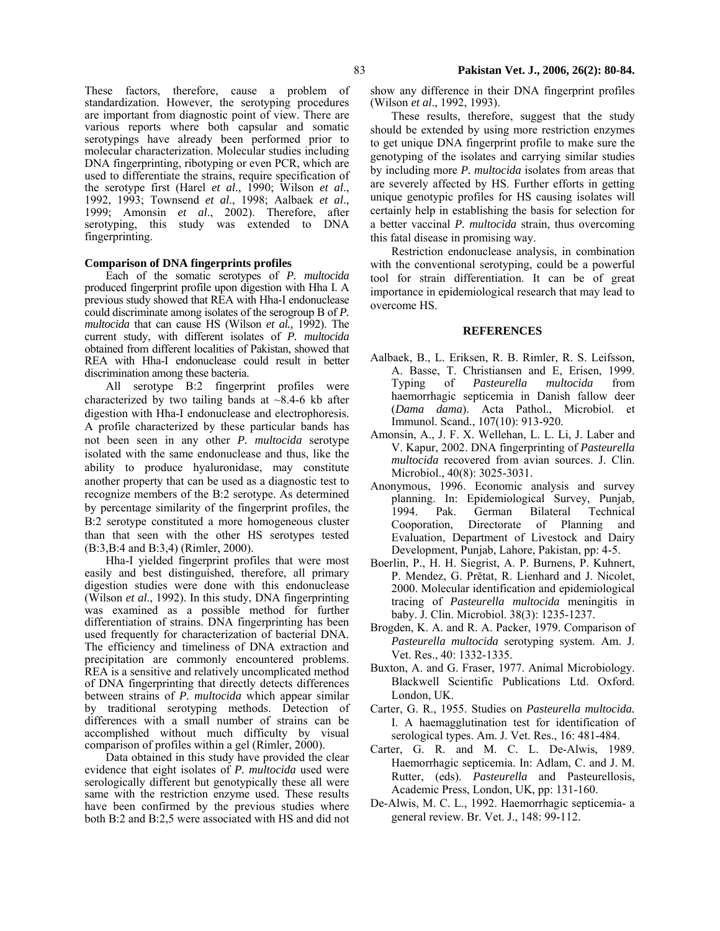These factors, therefore, cause a problem of standardization. However, the serotyping procedures are important from diagnostic point of view. There are various reports where both capsular and somatic serotypings have already been performed prior to molecular characterization. Molecular studies including DNA fingerprinting, ribotyping or even PCR, which are used to differentiate the strains, require specification of the serotype first (Harel *et al*., 1990; Wilson *et al*., 1992, 1993; Townsend *et al*., 1998; Aalbaek *et al*., 1999; Amonsin *et al*., 2002). Therefore, after serotyping, this study was extended to DNA fingerprinting.

# **Comparison of DNA fingerprints profiles**

Each of the somatic serotypes of *P. multocida* produced fingerprint profile upon digestion with Hha I. A previous study showed that REA with Hha-I endonuclease could discriminate among isolates of the serogroup B of *P. multocida* that can cause HS (Wilson *et al.,* 1992). The current study, with different isolates of *P. multocida* obtained from different localities of Pakistan, showed that REA with Hha-I endonuclease could result in better discrimination among these bacteria.

All serotype B:2 fingerprint profiles were characterized by two tailing bands at  $\sim$ 8.4-6 kb after digestion with Hha-I endonuclease and electrophoresis. A profile characterized by these particular bands has not been seen in any other *P. multocida* serotype isolated with the same endonuclease and thus, like the ability to produce hyaluronidase, may constitute another property that can be used as a diagnostic test to recognize members of the B:2 serotype. As determined by percentage similarity of the fingerprint profiles, the B:2 serotype constituted a more homogeneous cluster than that seen with the other HS serotypes tested (B:3,B:4 and B:3,4) (Rimler, 2000).

Hha-I yielded fingerprint profiles that were most easily and best distinguished, therefore, all primary digestion studies were done with this endonuclease (Wilson *et al*., 1992). In this study, DNA fingerprinting was examined as a possible method for further differentiation of strains. DNA fingerprinting has been used frequently for characterization of bacterial DNA. The efficiency and timeliness of DNA extraction and precipitation are commonly encountered problems. REA is a sensitive and relatively uncomplicated method of DNA fingerprinting that directly detects differences between strains of *P. multocida* which appear similar by traditional serotyping methods. Detection of differences with a small number of strains can be accomplished without much difficulty by visual comparison of profiles within a gel (Rimler, 2000).

Data obtained in this study have provided the clear evidence that eight isolates of *P. multocida* used were serologically different but genotypically these all were same with the restriction enzyme used. These results have been confirmed by the previous studies where both B:2 and B:2,5 were associated with HS and did not

show any difference in their DNA fingerprint profiles (Wilson *et al*., 1992, 1993).

These results, therefore, suggest that the study should be extended by using more restriction enzymes to get unique DNA fingerprint profile to make sure the genotyping of the isolates and carrying similar studies by including more *P. multocida* isolates from areas that are severely affected by HS. Further efforts in getting unique genotypic profiles for HS causing isolates will certainly help in establishing the basis for selection for a better vaccinal *P. multocida* strain, thus overcoming this fatal disease in promising way.

Restriction endonuclease analysis, in combination with the conventional serotyping, could be a powerful tool for strain differentiation. It can be of great importance in epidemiological research that may lead to overcome HS.

### **REFERENCES**

- Aalbaek, B., L. Eriksen, R. B. Rimler, R. S. Leifsson, A. Basse, T. Christiansen and E, Erisen, 1999. Typing of *Pasteurella multocida* from haemorrhagic septicemia in Danish fallow deer (*Dama dama*). Acta Pathol., Microbiol. et Immunol. Scand., 107(10): 913-920.
- Amonsin, A., J. F. X. Wellehan, L. L. Li, J. Laber and V. Kapur, 2002. DNA fingerprinting of *Pasteurella multocida* recovered from avian sources. J. Clin. Microbiol., 40(8): 3025-3031.
- Anonymous, 1996. Economic analysis and survey planning. In: Epidemiological Survey, Punjab, 1994. Pak. German Bilateral Technical Cooporation, Directorate of Planning and Evaluation, Department of Livestock and Dairy Development, Punjab, Lahore, Pakistan, pp: 4-5.
- Boerlin, P., H. H. Siegrist, A. P. Burnens, P. Kuhnert, P. Mendez, G. Prĕtat, R. Lienhard and J. Nicolet, 2000. Molecular identification and epidemiological tracing of *Pasteurella multocida* meningitis in baby. J. Clin. Microbiol. 38(3): 1235-1237.
- Brogden, K. A. and R. A. Packer, 1979. Comparison of *Pasteurella multocida* serotyping system. Am. J. Vet. Res., 40: 1332-1335.
- Buxton, A. and G. Fraser, 1977. Animal Microbiology. Blackwell Scientific Publications Ltd. Oxford. London, UK.
- Carter, G. R., 1955. Studies on *Pasteurella multocida.* I. A haemagglutination test for identification of serological types. Am. J. Vet. Res., 16: 481-484.
- Carter, G. R. and M. C. L. De-Alwis, 1989. Haemorrhagic septicemia. In: Adlam, C. and J. M. Rutter, (eds). *Pasteurella* and Pasteurellosis, Academic Press, London, UK, pp: 131-160.
- De-Alwis, M. C. L., 1992. Haemorrhagic septicemia- a general review. Br. Vet. J., 148: 99-112.